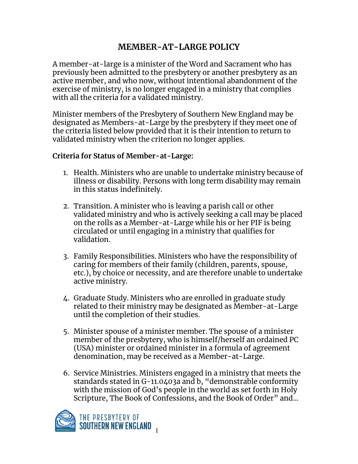## **MEMBER-AT-LARGE POLICY**

A member-at-large is a minister of the Word and Sacrament who has previously been admitted to the presbytery or another presbytery as an active member, and who now, without intentional abandonment of the exercise of ministry, is no longer engaged in a ministry that complies with all the criteria for a validated ministry.

Minister members of the Presbytery of Southern New England may be designated as Members-at-Large by the presbytery if they meet one of the criteria listed below provided that it is their intention to return to validated ministry when the criterion no longer applies.

## **Criteria for Status of Member-at-Large:**

- 1. Health. Ministers who are unable to undertake ministry because of illness or disability. Persons with long term disability may remain in this status indefinitely.
- 2. Transition. A minister who is leaving a parish call or other validated ministry and who is actively seeking a call may be placed on the rolls as a Member-at-Large while his or her PIF is being circulated or until engaging in a ministry that qualifies for validation.
- 3. Family Responsibilities. Ministers who have the responsibility of caring for members of their family (children, parents, spouse, etc.), by choice or necessity, and are therefore unable to undertake active ministry.
- 4. Graduate Study. Ministers who are enrolled in graduate study related to their ministry may be designated as Member-at-Large until the completion of their studies.
- 5. Minister spouse of a minister member. The spouse of a minister member of the presbytery, who is himself/herself an ordained PC (USA) minister or ordained minister in a formula of agreement denomination, may be received as a Member-at-Large.
- 6. Service Ministries. Ministers engaged in a ministry that meets the standards stated in G-11.0403a and b, "demonstrable conformity with the mission of God's people in the world as set forth in Holy Scripture, The Book of Confessions, and the Book of Order" and…

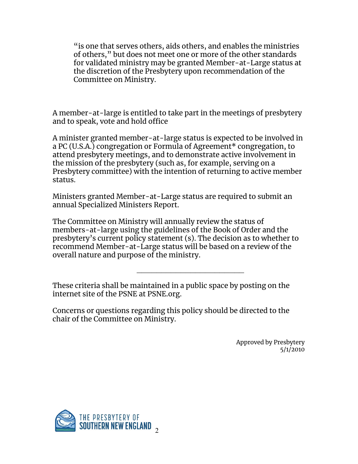"is one that serves others, aids others, and enables the ministries of others," but does not meet one or more of the other standards for validated ministry may be granted Member-at-Large status at the discretion of the Presbytery upon recommendation of the Committee on Ministry.

A member-at-large is entitled to take part in the meetings of presbytery and to speak, vote and hold office

A minister granted member-at-large status is expected to be involved in a PC (U.S.A.) congregation or Formula of Agreement\* congregation, to attend presbytery meetings, and to demonstrate active involvement in the mission of the presbytery (such as, for example, serving on a Presbytery committee) with the intention of returning to active member status.

Ministers granted Member-at-Large status are required to submit an annual Specialized Ministers Report.

The Committee on Ministry will annually review the status of members-at-large using the guidelines of the Book of Order and the presbytery's current policy statement (s). The decision as to whether to recommend Member-at-Large status will be based on a review of the overall nature and purpose of the ministry.

\_\_\_\_\_\_\_\_\_\_\_\_\_\_\_\_\_\_\_\_\_\_

These criteria shall be maintained in a public space by posting on the internet site of the PSNE at PSNE.org.

Concerns or questions regarding this policy should be directed to the chair of the Committee on Ministry.

> Approved by Presbytery 5/1/2010